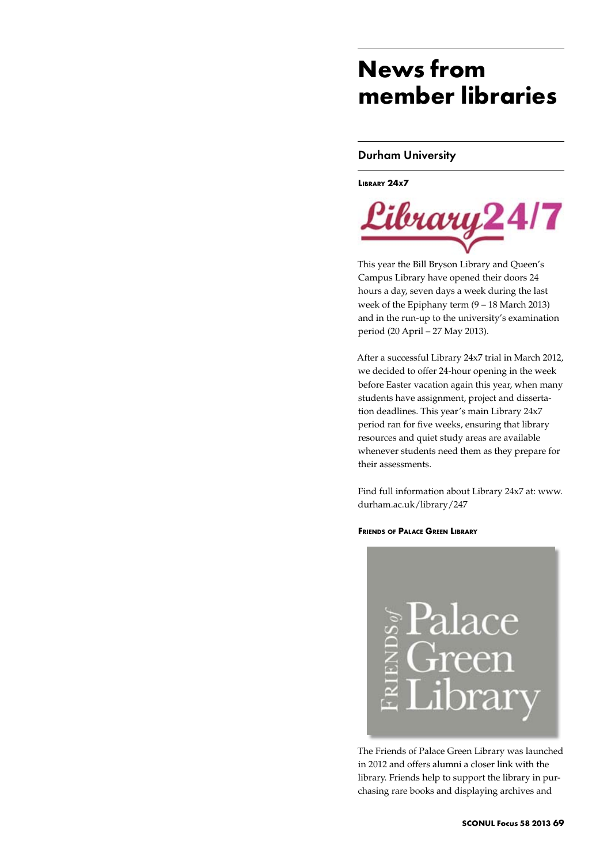# **News from member libraries**

### Durham University

**Library 24x7**



This year the Bill Bryson Library and Queen's Campus Library have opened their doors 24 hours a day, seven days a week during the last week of the Epiphany term (9 – 18 March 2013) and in the run-up to the university's examination period (20 April – 27 May 2013).

After a successful Library 24x7 trial in March 2012, we decided to offer 24-hour opening in the week before Easter vacation again this year, when many students have assignment, project and dissertation deadlines. This year's main Library 24x7 period ran for five weeks, ensuring that library resources and quiet study areas are available whenever students need them as they prepare for their assessments.

Find full information about Library 24x7 at: www. durham.ac.uk/library/247

### **Friends of Palace Green Library**



The Friends of Palace Green Library was launched in 2012 and offers alumni a closer link with the library. Friends help to support the library in purchasing rare books and displaying archives and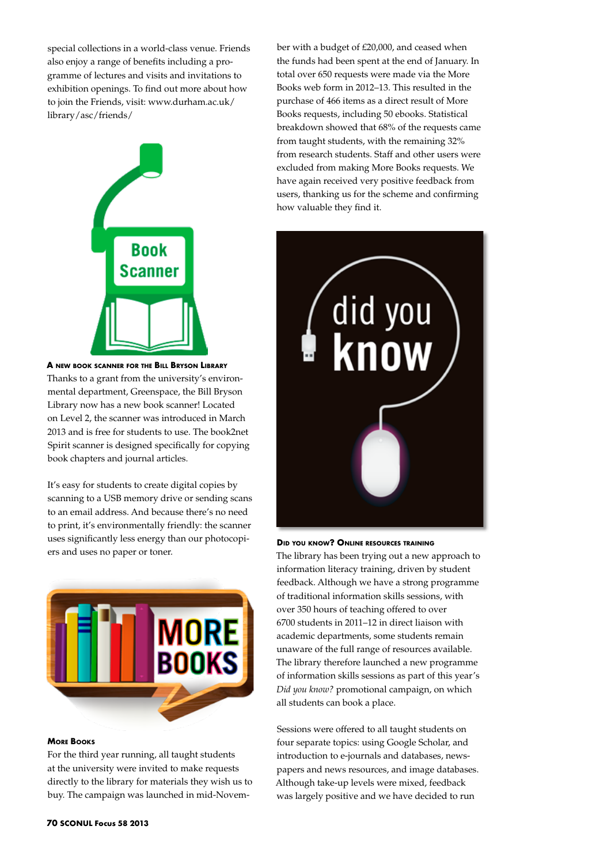special collections in a world-class venue. Friends also enjoy a range of benefits including a programme of lectures and visits and invitations to exhibition openings. To find out more about how to join the Friends, visit: www.durham.ac.uk/ library/asc/friends/



**A new book scanner for the Bill Bryson Library** Thanks to a grant from the university's environmental department, Greenspace, the Bill Bryson Library now has a new book scanner! Located on Level 2, the scanner was introduced in March 2013 and is free for students to use. The book2net Spirit scanner is designed specifically for copying book chapters and journal articles.

It's easy for students to create digital copies by scanning to a USB memory drive or sending scans to an email address. And because there's no need to print, it's environmentally friendly: the scanner uses significantly less energy than our photocopiers and uses no paper or toner.



### **More Books**

For the third year running, all taught students at the university were invited to make requests directly to the library for materials they wish us to buy. The campaign was launched in mid-Novem-

ber with a budget of £20,000, and ceased when the funds had been spent at the end of January. In total over 650 requests were made via the More Books web form in 2012–13. This resulted in the purchase of 466 items as a direct result of More Books requests, including 50 ebooks. Statistical breakdown showed that 68% of the requests came from taught students, with the remaining 32% from research students. Staff and other users were excluded from making More Books requests. We have again received very positive feedback from users, thanking us for the scheme and confirming how valuable they find it.



#### **Did you know? Online resources training**

The library has been trying out a new approach to information literacy training, driven by student feedback. Although we have a strong programme of traditional information skills sessions, with over 350 hours of teaching offered to over 6700 students in 2011–12 in direct liaison with academic departments, some students remain unaware of the full range of resources available. The library therefore launched a new programme of information skills sessions as part of this year's *Did you know?* promotional campaign, on which all students can book a place.

Sessions were offered to all taught students on four separate topics: using Google Scholar, and introduction to e-journals and databases, newspapers and news resources, and image databases. Although take-up levels were mixed, feedback was largely positive and we have decided to run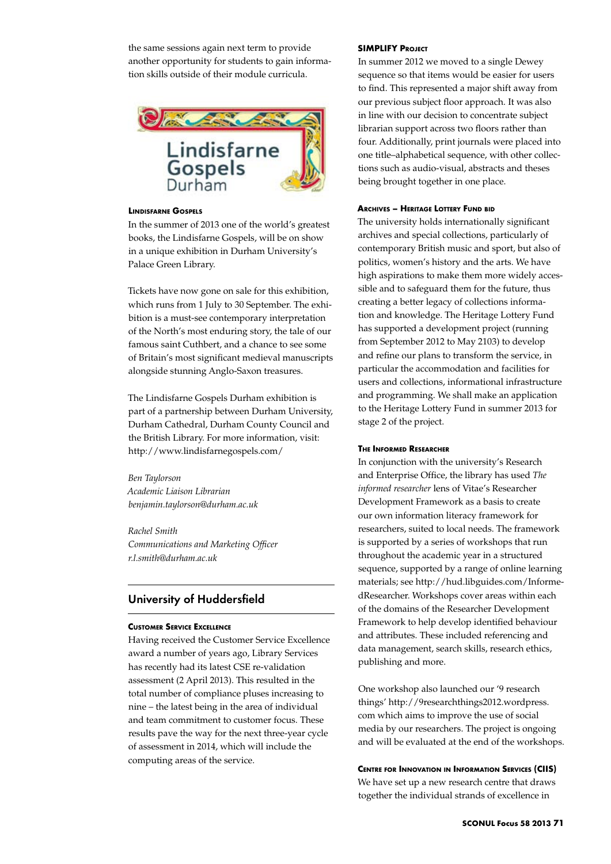the same sessions again next term to provide another opportunity for students to gain information skills outside of their module curricula.



### **Lindisfarne Gospels**

In the summer of 2013 one of the world's greatest books, the Lindisfarne Gospels, will be on show in a unique exhibition in Durham University's Palace Green Library.

Tickets have now gone on sale for this exhibition, which runs from 1 July to 30 September. The exhibition is a must-see contemporary interpretation of the North's most enduring story, the tale of our famous saint Cuthbert, and a chance to see some of Britain's most significant medieval manuscripts alongside stunning Anglo-Saxon treasures.

The Lindisfarne Gospels Durham exhibition is part of a partnership between Durham University, Durham Cathedral, Durham County Council and the British Library. For more information, visit: http://www.lindisfarnegospels.com/

*Ben Taylorson Academic Liaison Librarian benjamin.taylorson@durham.ac.uk*

*Rachel Smith Communications and Marketing Officer r.l.smith@durham.ac.uk* 

### University of Huddersfield

### **Customer Service Excellence**

Having received the Customer Service Excellence award a number of years ago, Library Services has recently had its latest CSE re-validation assessment (2 April 2013). This resulted in the total number of compliance pluses increasing to nine – the latest being in the area of individual and team commitment to customer focus. These results pave the way for the next three-year cycle of assessment in 2014, which will include the computing areas of the service.

### **SIMPLIFY PROJECT**

In summer 2012 we moved to a single Dewey sequence so that items would be easier for users to find. This represented a major shift away from our previous subject floor approach. It was also in line with our decision to concentrate subject librarian support across two floors rather than four. Additionally, print journals were placed into one title–alphabetical sequence, with other collections such as audio-visual, abstracts and theses being brought together in one place.

### **Archives – Heritage Lottery Fund bid**

The university holds internationally significant archives and special collections, particularly of contemporary British music and sport, but also of politics, women's history and the arts. We have high aspirations to make them more widely accessible and to safeguard them for the future, thus creating a better legacy of collections information and knowledge. The Heritage Lottery Fund has supported a development project (running from September 2012 to May 2103) to develop and refine our plans to transform the service, in particular the accommodation and facilities for users and collections, informational infrastructure and programming. We shall make an application to the Heritage Lottery Fund in summer 2013 for stage 2 of the project.

### **The Informed Researcher**

In conjunction with the university's Research and Enterprise Office, the library has used *The informed researcher* lens of Vitae's Researcher Development Framework as a basis to create our own information literacy framework for researchers, suited to local needs. The framework is supported by a series of workshops that run throughout the academic year in a structured sequence, supported by a range of online learning materials; see http://hud.libguides.com/InformedResearcher. Workshops cover areas within each of the domains of the Researcher Development Framework to help develop identified behaviour and attributes. These included referencing and data management, search skills, research ethics, publishing and more.

One workshop also launched our '9 research things' http://9researchthings2012.wordpress. com which aims to improve the use of social media by our researchers. The project is ongoing and will be evaluated at the end of the workshops.

### **Centre for Innovation in Information Services (CIIS)**

We have set up a new research centre that draws together the individual strands of excellence in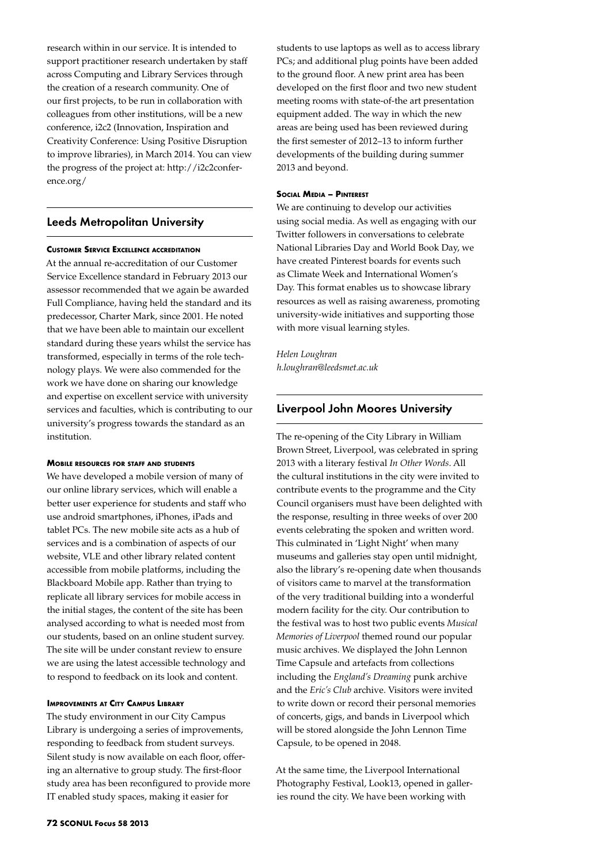research within in our service. It is intended to support practitioner research undertaken by staff across Computing and Library Services through the creation of a research community. One of our first projects, to be run in collaboration with colleagues from other institutions, will be a new conference, i2c2 (Innovation, Inspiration and Creativity Conference: Using Positive Disruption to improve libraries), in March 2014. You can view the progress of the project at: http://i2c2conference.org/

### Leeds Metropolitan University

### **Customer Service Excellence accreditation**

At the annual re-accreditation of our Customer Service Excellence standard in February 2013 our assessor recommended that we again be awarded Full Compliance, having held the standard and its predecessor, Charter Mark, since 2001. He noted that we have been able to maintain our excellent standard during these years whilst the service has transformed, especially in terms of the role technology plays. We were also commended for the work we have done on sharing our knowledge and expertise on excellent service with university services and faculties, which is contributing to our university's progress towards the standard as an institution.

#### **Mobile resources for staff and students**

We have developed a mobile version of many of our online library services, which will enable a better user experience for students and staff who use android smartphones, iPhones, iPads and tablet PCs. The new mobile site acts as a hub of services and is a combination of aspects of our website, VLE and other library related content accessible from mobile platforms, including the Blackboard Mobile app. Rather than trying to replicate all library services for mobile access in the initial stages, the content of the site has been analysed according to what is needed most from our students, based on an online student survey. The site will be under constant review to ensure we are using the latest accessible technology and to respond to feedback on its look and content.

### **Improvements at City Campus Library**

The study environment in our City Campus Library is undergoing a series of improvements, responding to feedback from student surveys. Silent study is now available on each floor, offering an alternative to group study. The first-floor study area has been reconfigured to provide more IT enabled study spaces, making it easier for

students to use laptops as well as to access library PCs; and additional plug points have been added to the ground floor. A new print area has been developed on the first floor and two new student meeting rooms with state-of-the art presentation equipment added. The way in which the new areas are being used has been reviewed during the first semester of 2012–13 to inform further developments of the building during summer 2013 and beyond.

### **Social Media – Pinterest**

We are continuing to develop our activities using social media. As well as engaging with our Twitter followers in conversations to celebrate National Libraries Day and World Book Day, we have created Pinterest boards for events such as Climate Week and International Women's Day. This format enables us to showcase library resources as well as raising awareness, promoting university-wide initiatives and supporting those with more visual learning styles.

## *Helen Loughran*

*h.loughran@leedsmet.ac.uk*

### Liverpool John Moores University

The re-opening of the City Library in William Brown Street, Liverpool, was celebrated in spring 2013 with a literary festival *In Other Words*. All the cultural institutions in the city were invited to contribute events to the programme and the City Council organisers must have been delighted with the response, resulting in three weeks of over 200 events celebrating the spoken and written word. This culminated in 'Light Night' when many museums and galleries stay open until midnight, also the library's re-opening date when thousands of visitors came to marvel at the transformation of the very traditional building into a wonderful modern facility for the city. Our contribution to the festival was to host two public events *Musical Memories of Liverpool* themed round our popular music archives. We displayed the John Lennon Time Capsule and artefacts from collections including the *England's Dreaming* punk archive and the *Eric's Club* archive. Visitors were invited to write down or record their personal memories of concerts, gigs, and bands in Liverpool which will be stored alongside the John Lennon Time Capsule, to be opened in 2048.

At the same time, the Liverpool International Photography Festival, Look13, opened in galleries round the city. We have been working with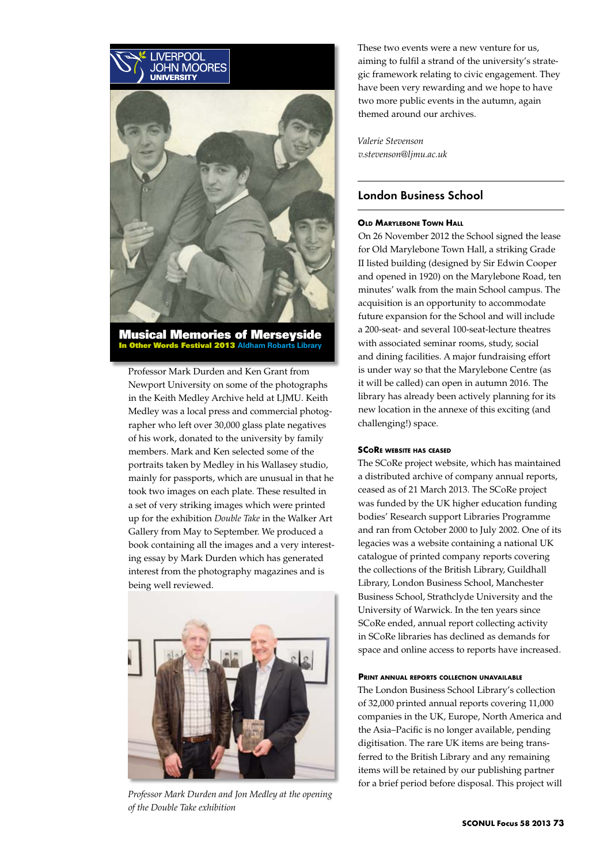

Musical Memories of Merseyside In Other Words Festival 2013 **Aldham Robarts Library**

Professor Mark Durden and Ken Grant from Newport University on some of the photographs in the Keith Medley Archive held at LJMU. Keith Medley was a local press and commercial photographer who left over 30,000 glass plate negatives of his work, donated to the university by family members. Mark and Ken selected some of the portraits taken by Medley in his Wallasey studio, mainly for passports, which are unusual in that he took two images on each plate. These resulted in a set of very striking images which were printed up for the exhibition *Double Take* in the Walker Art Gallery from May to September. We produced a book containing all the images and a very interesting essay by Mark Durden which has generated interest from the photography magazines and is being well reviewed.



*Professor Mark Durden and Jon Medley at the opening of the Double Take exhibition*

These two events were a new venture for us, aiming to fulfil a strand of the university's strategic framework relating to civic engagement. They have been very rewarding and we hope to have two more public events in the autumn, again themed around our archives.

*Valerie Stevenson v.stevenson@ljmu.ac.uk*

### London Business School

### **Old Marylebone Town Hall**

On 26 November 2012 the School signed the lease for Old Marylebone Town Hall, a striking Grade II listed building (designed by Sir Edwin Cooper and opened in 1920) on the Marylebone Road, ten minutes' walk from the main School campus. The acquisition is an opportunity to accommodate future expansion for the School and will include a 200-seat- and several 100-seat-lecture theatres with associated seminar rooms, study, social and dining facilities. A major fundraising effort is under way so that the Marylebone Centre (as it will be called) can open in autumn 2016. The library has already been actively planning for its new location in the annexe of this exciting (and challenging!) space.

### **SCoRe website has ceased**

The SCoRe project website, which has maintained a distributed archive of company annual reports, ceased as of 21 March 2013. The SCoRe project was funded by the UK higher education funding bodies' Research support Libraries Programme and ran from October 2000 to July 2002. One of its legacies was a website containing a national UK catalogue of printed company reports covering the collections of the British Library, Guildhall Library, London Business School, Manchester Business School, Strathclyde University and the University of Warwick. In the ten years since SCoRe ended, annual report collecting activity in SCoRe libraries has declined as demands for space and online access to reports have increased.

### **Print annual reports collection unavailable**

The London Business School Library's collection of 32,000 printed annual reports covering 11,000 companies in the UK, Europe, North America and the Asia–Pacific is no longer available, pending digitisation. The rare UK items are being transferred to the British Library and any remaining items will be retained by our publishing partner for a brief period before disposal. This project will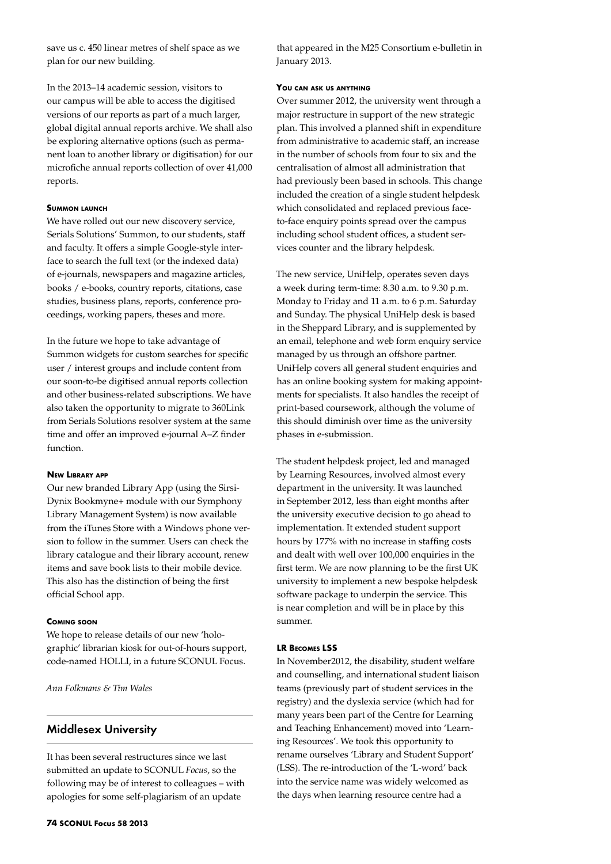save us c. 450 linear metres of shelf space as we plan for our new building.

In the 2013–14 academic session, visitors to our campus will be able to access the digitised versions of our reports as part of a much larger, global digital annual reports archive. We shall also be exploring alternative options (such as permanent loan to another library or digitisation) for our microfiche annual reports collection of over 41,000 reports.

### **Summon launch**

We have rolled out our new discovery service, Serials Solutions' Summon, to our students, staff and faculty. It offers a simple Google-style interface to search the full text (or the indexed data) of e-journals, newspapers and magazine articles, books / e-books, country reports, citations, case studies, business plans, reports, conference proceedings, working papers, theses and more.

In the future we hope to take advantage of Summon widgets for custom searches for specific user / interest groups and include content from our soon-to-be digitised annual reports collection and other business-related subscriptions. We have also taken the opportunity to migrate to 360Link from Serials Solutions resolver system at the same time and offer an improved e-journal A–Z finder function.

#### **New Library app**

Our new branded Library App (using the Sirsi-Dynix Bookmyne+ module with our Symphony Library Management System) is now available from the iTunes Store with a Windows phone version to follow in the summer. Users can check the library catalogue and their library account, renew items and save book lists to their mobile device. This also has the distinction of being the first official School app.

### **Coming soon**

We hope to release details of our new 'holographic' librarian kiosk for out-of-hours support, code-named HOLLI, in a future SCONUL Focus.

*Ann Folkmans & Tim Wales*

### Middlesex University

It has been several restructures since we last submitted an update to SCONUL *Focus*, so the following may be of interest to colleagues – with apologies for some self-plagiarism of an update

that appeared in the M25 Consortium e-bulletin in January 2013.

### **You can ask us anything**

Over summer 2012, the university went through a major restructure in support of the new strategic plan. This involved a planned shift in expenditure from administrative to academic staff, an increase in the number of schools from four to six and the centralisation of almost all administration that had previously been based in schools. This change included the creation of a single student helpdesk which consolidated and replaced previous faceto-face enquiry points spread over the campus including school student offices, a student services counter and the library helpdesk.

The new service, UniHelp, operates seven days a week during term-time: 8.30 a.m. to 9.30 p.m. Monday to Friday and 11 a.m. to 6 p.m. Saturday and Sunday. The physical UniHelp desk is based in the Sheppard Library, and is supplemented by an email, telephone and web form enquiry service managed by us through an offshore partner. UniHelp covers all general student enquiries and has an online booking system for making appointments for specialists. It also handles the receipt of print-based coursework, although the volume of this should diminish over time as the university phases in e-submission.

The student helpdesk project, led and managed by Learning Resources, involved almost every department in the university. It was launched in September 2012, less than eight months after the university executive decision to go ahead to implementation. It extended student support hours by 177% with no increase in staffing costs and dealt with well over 100,000 enquiries in the first term. We are now planning to be the first UK university to implement a new bespoke helpdesk software package to underpin the service. This is near completion and will be in place by this summer.

### **LR Becomes LSS**

In November2012, the disability, student welfare and counselling, and international student liaison teams (previously part of student services in the registry) and the dyslexia service (which had for many years been part of the Centre for Learning and Teaching Enhancement) moved into 'Learning Resources'. We took this opportunity to rename ourselves 'Library and Student Support' (LSS). The re-introduction of the 'L-word' back into the service name was widely welcomed as the days when learning resource centre had a